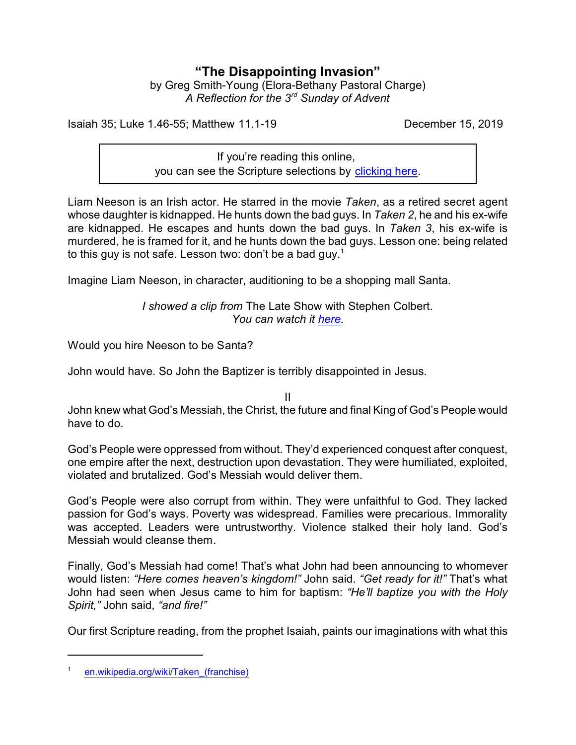## **"The Disappointing Invasion"**

by Greg Smith-Young (Elora-Bethany Pastoral Charge) *A Reflection for the 3rd Sunday of Advent*

Isaiah 35; Luke 1.46-55; Matthew 11.1-19 December 15, 2019

If you're reading this online, you can see the Scripture selections by [clicking here](https://www.biblegateway.com/passage/?search=Isaiah+35%3B+Luke+1.46-55%3B+Matthew+11.1-19&version=CEB).

Liam Neeson is an Irish actor. He starred in the movie *Taken*, as a retired secret agent whose daughter is kidnapped. He hunts down the bad guys. In *Taken 2*, he and his ex-wife are kidnapped. He escapes and hunts down the bad guys. In *Taken 3*, his ex-wife is murdered, he is framed for it, and he hunts down the bad guys. Lesson one: being related to this guy is not safe. Lesson two: don't be a bad guy. $^{\rm 1}$ 

Imagine Liam Neeson, in character, auditioning to be a shopping mall Santa.

*I showed a clip from* The Late Show with Stephen Colbert. *You can watch it [here](https://www.youtube.com/watch?v=VqG621-drmk).*

Would you hire Neeson to be Santa?

John would have. So John the Baptizer is terribly disappointed in Jesus.

II

John knew what God's Messiah, the Christ, the future and final King of God's People would have to do.

God's People were oppressed from without. They'd experienced conquest after conquest, one empire after the next, destruction upon devastation. They were humiliated, exploited, violated and brutalized. God's Messiah would deliver them.

God's People were also corrupt from within. They were unfaithful to God. They lacked passion for God's ways. Poverty was widespread. Families were precarious. Immorality was accepted. Leaders were untrustworthy. Violence stalked their holy land. God's Messiah would cleanse them.

Finally, God's Messiah had come! That's what John had been announcing to whomever would listen: *"Here comes heaven's kingdom!"* John said. *"Get ready for it!"* That's what John had seen when Jesus came to him for baptism: *"He'll baptize you with the Holy Spirit,"* John said, *"and fire!"*

Our first Scripture reading, from the prophet Isaiah, paints our imaginations with what this

<sup>1</sup> [en.wikipedia.org/wiki/Taken\\_\(franchise\)](https://en.wikipedia.org/wiki/Taken_(franchise))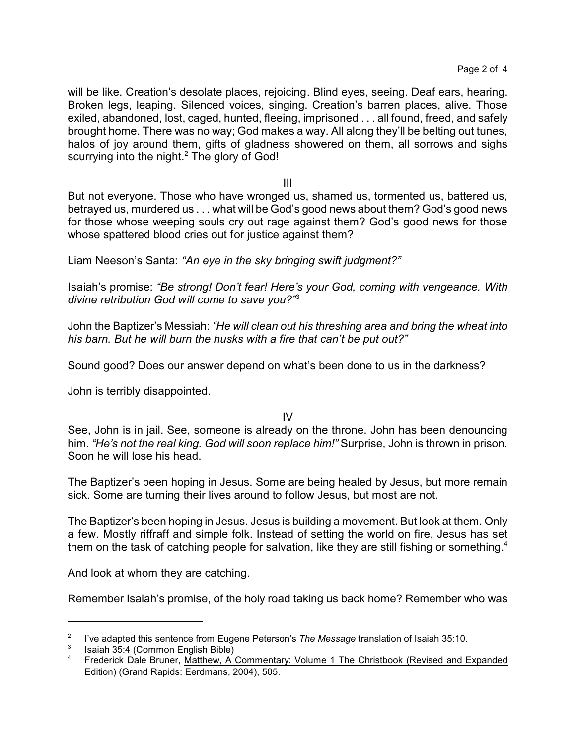will be like. Creation's desolate places, rejoicing. Blind eyes, seeing. Deaf ears, hearing. Broken legs, leaping. Silenced voices, singing. Creation's barren places, alive. Those exiled, abandoned, lost, caged, hunted, fleeing, imprisoned . . . all found, freed, and safely brought home. There was no way; God makes a way. All along they'll be belting out tunes, halos of joy around them, gifts of gladness showered on them, all sorrows and sighs scurrying into the night. $^2$  The glory of God!

III

But not everyone. Those who have wronged us, shamed us, tormented us, battered us, betrayed us, murdered us . . . what will be God's good news about them? God's good news for those whose weeping souls cry out rage against them? God's good news for those whose spattered blood cries out for justice against them?

Liam Neeson's Santa: *"An eye in the sky bringing swift judgment?"*

Isaiah's promise: *"Be strong! Don't fear! Here's your God, coming with vengeance. With divine retribution God will come to save you?"*<sup>3</sup>

John the Baptizer's Messiah: *"He will clean out his threshing area and bring the wheat into his barn. But he will burn the husks with a fire that can't be put out?"*

Sound good? Does our answer depend on what's been done to us in the darkness?

John is terribly disappointed.

## IV

See, John is in jail. See, someone is already on the throne. John has been denouncing him. *"He's not the real king. God will soon replace him!"* Surprise, John is thrown in prison. Soon he will lose his head.

The Baptizer's been hoping in Jesus. Some are being healed by Jesus, but more remain sick. Some are turning their lives around to follow Jesus, but most are not.

The Baptizer's been hoping in Jesus. Jesus is building a movement. But look at them. Only a few. Mostly riffraff and simple folk. Instead of setting the world on fire, Jesus has set them on the task of catching people for salvation, like they are still fishing or something.<sup>4</sup>

And look at whom they are catching.

Remember Isaiah's promise, of the holy road taking us back home? Remember who was

<sup>2</sup> I've adapted this sentence from Eugene Peterson's *The Message* translation of Isaiah 35:10.

<sup>3</sup> Isaiah 35:4 (Common English Bible)

<sup>4</sup> Frederick Dale Bruner, Matthew, A Commentary: Volume 1 The Christbook (Revised and Expanded Edition) (Grand Rapids: Eerdmans, 2004), 505.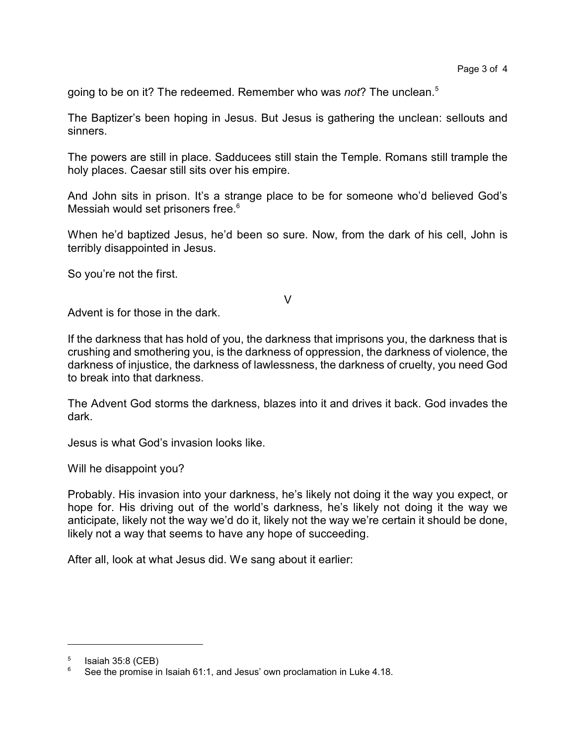going to be on it? The redeemed. Remember who was *not*? The unclean.<sup>5</sup>

The Baptizer's been hoping in Jesus. But Jesus is gathering the unclean: sellouts and sinners.

The powers are still in place. Sadducees still stain the Temple. Romans still trample the holy places. Caesar still sits over his empire.

And John sits in prison. It's a strange place to be for someone who'd believed God's Messiah would set prisoners free.<sup>6</sup>

When he'd baptized Jesus, he'd been so sure. Now, from the dark of his cell, John is terribly disappointed in Jesus.

So you're not the first.

## V

Advent is for those in the dark.

If the darkness that has hold of you, the darkness that imprisons you, the darkness that is crushing and smothering you, is the darkness of oppression, the darkness of violence, the darkness of injustice, the darkness of lawlessness, the darkness of cruelty, you need God to break into that darkness.

The Advent God storms the darkness, blazes into it and drives it back. God invades the dark.

Jesus is what God's invasion looks like.

Will he disappoint you?

Probably. His invasion into your darkness, he's likely not doing it the way you expect, or hope for. His driving out of the world's darkness, he's likely not doing it the way we anticipate, likely not the way we'd do it, likely not the way we're certain it should be done, likely not a way that seems to have any hope of succeeding.

After all, look at what Jesus did. We sang about it earlier:

<sup>5</sup> Isaiah 35:8 (CEB)

 $6$  See the promise in Isaiah 61:1, and Jesus' own proclamation in Luke 4.18.